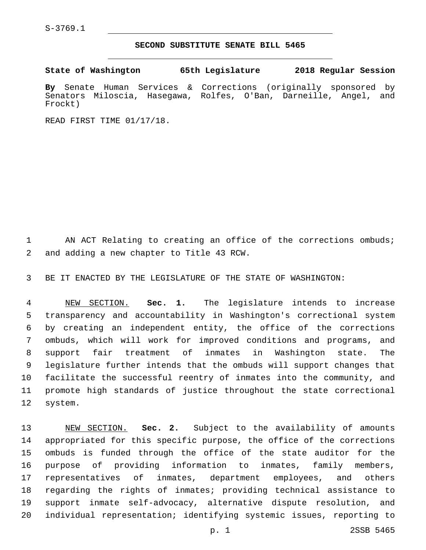S-3769.1

## **SECOND SUBSTITUTE SENATE BILL 5465**

**State of Washington 65th Legislature 2018 Regular Session**

**By** Senate Human Services & Corrections (originally sponsored by Senators Miloscia, Hasegawa, Rolfes, O'Ban, Darneille, Angel, and Frockt)

READ FIRST TIME 01/17/18.

1 AN ACT Relating to creating an office of the corrections ombuds; 2 and adding a new chapter to Title 43 RCW.

BE IT ENACTED BY THE LEGISLATURE OF THE STATE OF WASHINGTON:

 NEW SECTION. **Sec. 1.** The legislature intends to increase transparency and accountability in Washington's correctional system by creating an independent entity, the office of the corrections ombuds, which will work for improved conditions and programs, and support fair treatment of inmates in Washington state. The legislature further intends that the ombuds will support changes that facilitate the successful reentry of inmates into the community, and promote high standards of justice throughout the state correctional system.

 NEW SECTION. **Sec. 2.** Subject to the availability of amounts appropriated for this specific purpose, the office of the corrections ombuds is funded through the office of the state auditor for the purpose of providing information to inmates, family members, representatives of inmates, department employees, and others regarding the rights of inmates; providing technical assistance to support inmate self-advocacy, alternative dispute resolution, and individual representation; identifying systemic issues, reporting to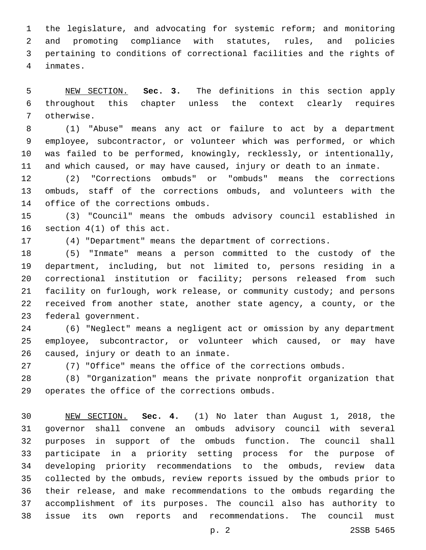the legislature, and advocating for systemic reform; and monitoring and promoting compliance with statutes, rules, and policies pertaining to conditions of correctional facilities and the rights of inmates.4

 NEW SECTION. **Sec. 3.** The definitions in this section apply throughout this chapter unless the context clearly requires otherwise.

 (1) "Abuse" means any act or failure to act by a department employee, subcontractor, or volunteer which was performed, or which was failed to be performed, knowingly, recklessly, or intentionally, and which caused, or may have caused, injury or death to an inmate.

 (2) "Corrections ombuds" or "ombuds" means the corrections ombuds, staff of the corrections ombuds, and volunteers with the 14 office of the corrections ombuds.

 (3) "Council" means the ombuds advisory council established in 16 section  $4(1)$  of this act.

(4) "Department" means the department of corrections.

 (5) "Inmate" means a person committed to the custody of the department, including, but not limited to, persons residing in a correctional institution or facility; persons released from such facility on furlough, work release, or community custody; and persons received from another state, another state agency, a county, or the 23 federal government.

 (6) "Neglect" means a negligent act or omission by any department employee, subcontractor, or volunteer which caused, or may have 26 caused, injury or death to an inmate.

(7) "Office" means the office of the corrections ombuds.

 (8) "Organization" means the private nonprofit organization that 29 operates the office of the corrections ombuds.

 NEW SECTION. **Sec. 4.** (1) No later than August 1, 2018, the governor shall convene an ombuds advisory council with several purposes in support of the ombuds function. The council shall participate in a priority setting process for the purpose of developing priority recommendations to the ombuds, review data collected by the ombuds, review reports issued by the ombuds prior to their release, and make recommendations to the ombuds regarding the accomplishment of its purposes. The council also has authority to issue its own reports and recommendations. The council must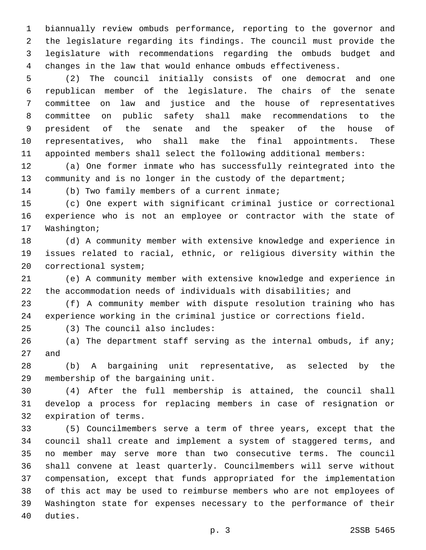biannually review ombuds performance, reporting to the governor and the legislature regarding its findings. The council must provide the legislature with recommendations regarding the ombuds budget and changes in the law that would enhance ombuds effectiveness.

 (2) The council initially consists of one democrat and one republican member of the legislature. The chairs of the senate committee on law and justice and the house of representatives committee on public safety shall make recommendations to the president of the senate and the speaker of the house of representatives, who shall make the final appointments. These appointed members shall select the following additional members:

 (a) One former inmate who has successfully reintegrated into the 13 community and is no longer in the custody of the department;

14 (b) Two family members of a current inmate;

 (c) One expert with significant criminal justice or correctional experience who is not an employee or contractor with the state of 17 Washington;

 (d) A community member with extensive knowledge and experience in issues related to racial, ethnic, or religious diversity within the 20 correctional system;

 (e) A community member with extensive knowledge and experience in the accommodation needs of individuals with disabilities; and

 (f) A community member with dispute resolution training who has experience working in the criminal justice or corrections field.

(3) The council also includes:25

 (a) The department staff serving as the internal ombuds, if any; 27 and

 (b) A bargaining unit representative, as selected by the 29 membership of the bargaining unit.

 (4) After the full membership is attained, the council shall develop a process for replacing members in case of resignation or 32 expiration of terms.

 (5) Councilmembers serve a term of three years, except that the council shall create and implement a system of staggered terms, and no member may serve more than two consecutive terms. The council shall convene at least quarterly. Councilmembers will serve without compensation, except that funds appropriated for the implementation of this act may be used to reimburse members who are not employees of Washington state for expenses necessary to the performance of their 40 duties.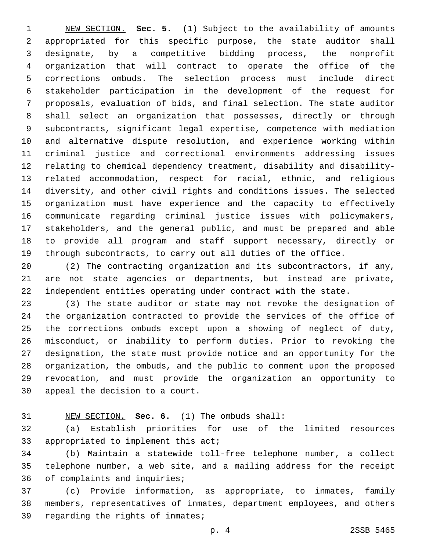NEW SECTION. **Sec. 5.** (1) Subject to the availability of amounts appropriated for this specific purpose, the state auditor shall designate, by a competitive bidding process, the nonprofit organization that will contract to operate the office of the corrections ombuds. The selection process must include direct stakeholder participation in the development of the request for proposals, evaluation of bids, and final selection. The state auditor shall select an organization that possesses, directly or through subcontracts, significant legal expertise, competence with mediation and alternative dispute resolution, and experience working within criminal justice and correctional environments addressing issues relating to chemical dependency treatment, disability and disability- related accommodation, respect for racial, ethnic, and religious diversity, and other civil rights and conditions issues. The selected organization must have experience and the capacity to effectively communicate regarding criminal justice issues with policymakers, stakeholders, and the general public, and must be prepared and able to provide all program and staff support necessary, directly or through subcontracts, to carry out all duties of the office.

 (2) The contracting organization and its subcontractors, if any, are not state agencies or departments, but instead are private, independent entities operating under contract with the state.

 (3) The state auditor or state may not revoke the designation of the organization contracted to provide the services of the office of the corrections ombuds except upon a showing of neglect of duty, misconduct, or inability to perform duties. Prior to revoking the designation, the state must provide notice and an opportunity for the organization, the ombuds, and the public to comment upon the proposed revocation, and must provide the organization an opportunity to 30 appeal the decision to a court.

## NEW SECTION. **Sec. 6.** (1) The ombuds shall:

 (a) Establish priorities for use of the limited resources 33 appropriated to implement this act;

 (b) Maintain a statewide toll-free telephone number, a collect telephone number, a web site, and a mailing address for the receipt 36 of complaints and inquiries;

 (c) Provide information, as appropriate, to inmates, family members, representatives of inmates, department employees, and others 39 regarding the rights of inmates;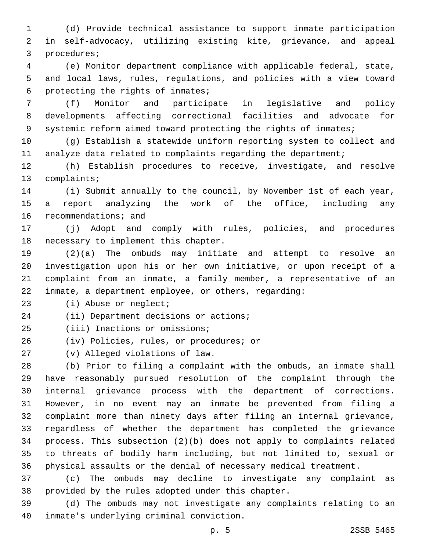(d) Provide technical assistance to support inmate participation in self-advocacy, utilizing existing kite, grievance, and appeal 3 procedures;

 (e) Monitor department compliance with applicable federal, state, and local laws, rules, regulations, and policies with a view toward 6 protecting the rights of inmates;

 (f) Monitor and participate in legislative and policy developments affecting correctional facilities and advocate for systemic reform aimed toward protecting the rights of inmates;

 (g) Establish a statewide uniform reporting system to collect and analyze data related to complaints regarding the department;

 (h) Establish procedures to receive, investigate, and resolve 13 complaints;

 (i) Submit annually to the council, by November 1st of each year, a report analyzing the work of the office, including any 16 recommendations; and

 (j) Adopt and comply with rules, policies, and procedures 18 necessary to implement this chapter.

 (2)(a) The ombuds may initiate and attempt to resolve an investigation upon his or her own initiative, or upon receipt of a complaint from an inmate, a family member, a representative of an inmate, a department employee, or others, regarding:

23 (i) Abuse or neglect;

24 (ii) Department decisions or actions;

25 (iii) Inactions or omissions;

26 (iv) Policies, rules, or procedures; or

(v) Alleged violations of law.27

 (b) Prior to filing a complaint with the ombuds, an inmate shall have reasonably pursued resolution of the complaint through the internal grievance process with the department of corrections. However, in no event may an inmate be prevented from filing a complaint more than ninety days after filing an internal grievance, regardless of whether the department has completed the grievance process. This subsection (2)(b) does not apply to complaints related to threats of bodily harm including, but not limited to, sexual or physical assaults or the denial of necessary medical treatment.

 (c) The ombuds may decline to investigate any complaint as 38 provided by the rules adopted under this chapter.

 (d) The ombuds may not investigate any complaints relating to an 40 inmate's underlying criminal conviction.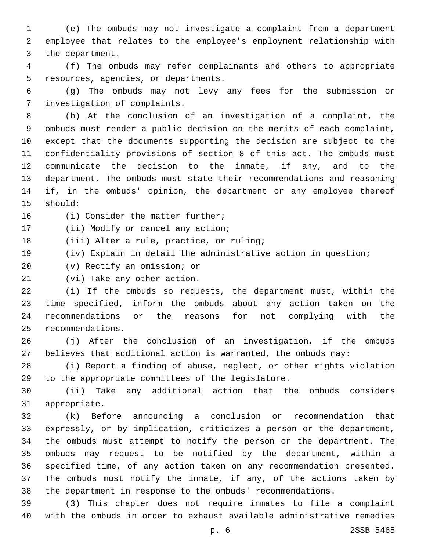(e) The ombuds may not investigate a complaint from a department employee that relates to the employee's employment relationship with 3 the department.

 (f) The ombuds may refer complainants and others to appropriate 5 resources, agencies, or departments.

 (g) The ombuds may not levy any fees for the submission or 7 investigation of complaints.

 (h) At the conclusion of an investigation of a complaint, the ombuds must render a public decision on the merits of each complaint, except that the documents supporting the decision are subject to the confidentiality provisions of section 8 of this act. The ombuds must communicate the decision to the inmate, if any, and to the department. The ombuds must state their recommendations and reasoning if, in the ombuds' opinion, the department or any employee thereof 15 should:

16 (i) Consider the matter further;

17 (ii) Modify or cancel any action;

18 (iii) Alter a rule, practice, or ruling;

(iv) Explain in detail the administrative action in question;

20 (v) Rectify an omission; or

21 (vi) Take any other action.

 (i) If the ombuds so requests, the department must, within the time specified, inform the ombuds about any action taken on the recommendations or the reasons for not complying with the 25 recommendations.

 (j) After the conclusion of an investigation, if the ombuds believes that additional action is warranted, the ombuds may:

 (i) Report a finding of abuse, neglect, or other rights violation 29 to the appropriate committees of the legislature.

 (ii) Take any additional action that the ombuds considers 31 appropriate.

 (k) Before announcing a conclusion or recommendation that expressly, or by implication, criticizes a person or the department, the ombuds must attempt to notify the person or the department. The ombuds may request to be notified by the department, within a specified time, of any action taken on any recommendation presented. The ombuds must notify the inmate, if any, of the actions taken by the department in response to the ombuds' recommendations.

 (3) This chapter does not require inmates to file a complaint with the ombuds in order to exhaust available administrative remedies

p. 6 2SSB 5465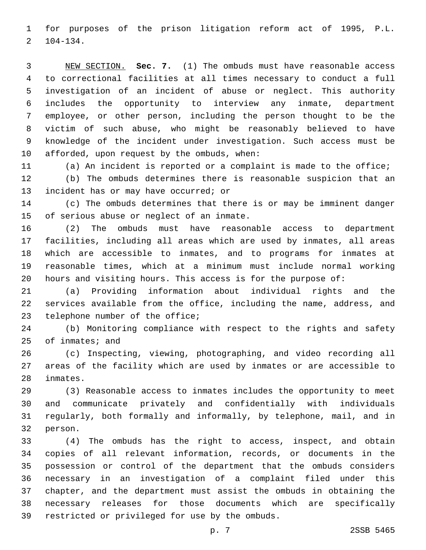for purposes of the prison litigation reform act of 1995, P.L.  $2 \quad 104-134.$ 

 NEW SECTION. **Sec. 7.** (1) The ombuds must have reasonable access to correctional facilities at all times necessary to conduct a full investigation of an incident of abuse or neglect. This authority includes the opportunity to interview any inmate, department employee, or other person, including the person thought to be the victim of such abuse, who might be reasonably believed to have knowledge of the incident under investigation. Such access must be afforded, upon request by the ombuds, when:

 (a) An incident is reported or a complaint is made to the office; (b) The ombuds determines there is reasonable suspicion that an 13 incident has or may have occurred; or

 (c) The ombuds determines that there is or may be imminent danger 15 of serious abuse or neglect of an inmate.

 (2) The ombuds must have reasonable access to department facilities, including all areas which are used by inmates, all areas which are accessible to inmates, and to programs for inmates at reasonable times, which at a minimum must include normal working hours and visiting hours. This access is for the purpose of:

 (a) Providing information about individual rights and the services available from the office, including the name, address, and 23 telephone number of the office;

 (b) Monitoring compliance with respect to the rights and safety of inmates; and

 (c) Inspecting, viewing, photographing, and video recording all areas of the facility which are used by inmates or are accessible to 28 inmates.

 (3) Reasonable access to inmates includes the opportunity to meet and communicate privately and confidentially with individuals regularly, both formally and informally, by telephone, mail, and in 32 person.

 (4) The ombuds has the right to access, inspect, and obtain copies of all relevant information, records, or documents in the possession or control of the department that the ombuds considers necessary in an investigation of a complaint filed under this chapter, and the department must assist the ombuds in obtaining the necessary releases for those documents which are specifically 39 restricted or privileged for use by the ombuds.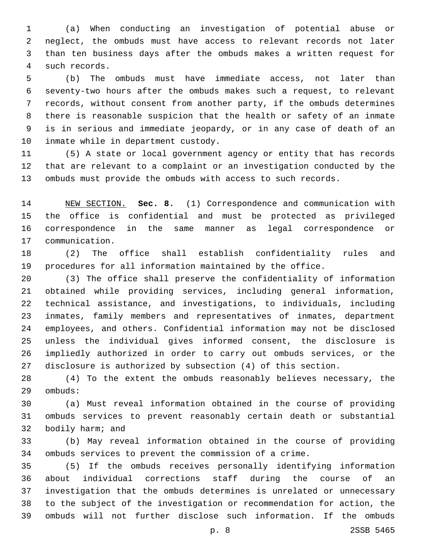(a) When conducting an investigation of potential abuse or neglect, the ombuds must have access to relevant records not later than ten business days after the ombuds makes a written request for such records.4

 (b) The ombuds must have immediate access, not later than seventy-two hours after the ombuds makes such a request, to relevant records, without consent from another party, if the ombuds determines there is reasonable suspicion that the health or safety of an inmate is in serious and immediate jeopardy, or in any case of death of an 10 inmate while in department custody.

 (5) A state or local government agency or entity that has records that are relevant to a complaint or an investigation conducted by the ombuds must provide the ombuds with access to such records.

 NEW SECTION. **Sec. 8.** (1) Correspondence and communication with the office is confidential and must be protected as privileged correspondence in the same manner as legal correspondence or communication.

 (2) The office shall establish confidentiality rules and procedures for all information maintained by the office.

 (3) The office shall preserve the confidentiality of information obtained while providing services, including general information, technical assistance, and investigations, to individuals, including inmates, family members and representatives of inmates, department employees, and others. Confidential information may not be disclosed unless the individual gives informed consent, the disclosure is impliedly authorized in order to carry out ombuds services, or the disclosure is authorized by subsection (4) of this section.

 (4) To the extent the ombuds reasonably believes necessary, the 29 ombuds:

 (a) Must reveal information obtained in the course of providing ombuds services to prevent reasonably certain death or substantial 32 bodily harm; and

 (b) May reveal information obtained in the course of providing ombuds services to prevent the commission of a crime.

 (5) If the ombuds receives personally identifying information about individual corrections staff during the course of an investigation that the ombuds determines is unrelated or unnecessary to the subject of the investigation or recommendation for action, the ombuds will not further disclose such information. If the ombuds

p. 8 2SSB 5465